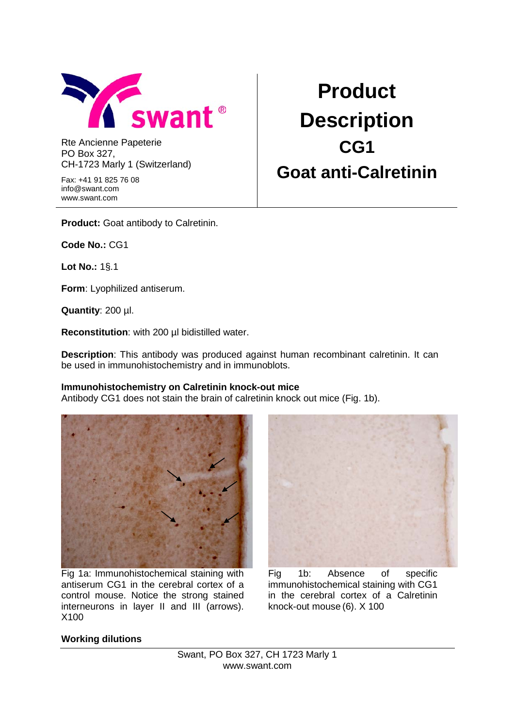

Rte Ancienne Papeterie PO Box 327, CH-1723 Marly 1 (Switzerland)

Fax: +41 91 825 76 08 info@swant.com www.swant.com

**Product Description CG1 Goat anti-Calretinin**

**Product:** Goat antibody to Calretinin.

**Code No.:** CG1

**Lot No.:** 1§.1

**Form**: Lyophilized antiserum.

**Quantity**: 200 µl.

**Reconstitution**: with 200 µl bidistilled water.

**Description**: This antibody was produced against human recombinant calretinin. It can be used in immunohistochemistry and in immunoblots.

## **Immunohistochemistry on Calretinin knock-out mice**

Antibody CG1 does not stain the brain of calretinin knock out mice (Fig. 1b).



Fig 1a: Immunohistochemical staining with antiserum CG1 in the cerebral cortex of a control mouse. Notice the strong stained interneurons in layer II and III (arrows). X100



Fig 1b: Absence of specific immunohistochemical staining with CG1 in the cerebral cortex of a Calretinin knock-out mouse (6). X 100

## **Working dilutions**

Swant, PO Box 327, CH 1723 Marly 1 www.swant.com